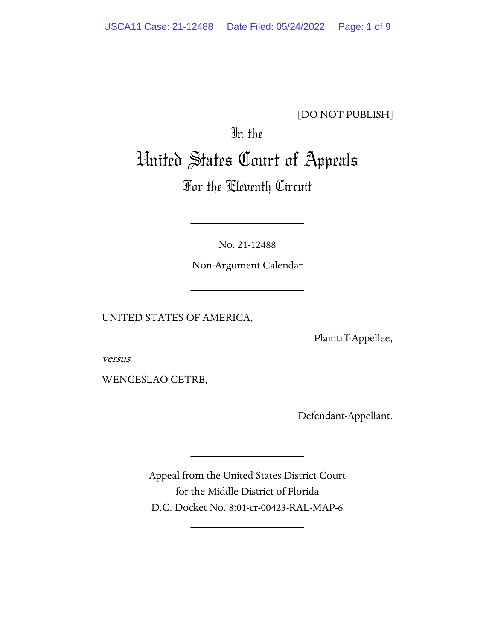### [DO NOT PUBLISH]

# In the United States Court of Appeals

## For the Eleventh Circuit

No. 21-12488

\_\_\_\_\_\_\_\_\_\_\_\_\_\_\_\_\_\_\_\_

Non-Argument Calendar

\_\_\_\_\_\_\_\_\_\_\_\_\_\_\_\_\_\_\_\_

UNITED STATES OF AMERICA,

Plaintiff-Appellee,

versus

WENCESLAO CETRE,

Defendant-Appellant.

Appeal from the United States District Court for the Middle District of Florida D.C. Docket No. 8:01-cr-00423-RAL-MAP-6

\_\_\_\_\_\_\_\_\_\_\_\_\_\_\_\_\_\_\_\_

\_\_\_\_\_\_\_\_\_\_\_\_\_\_\_\_\_\_\_\_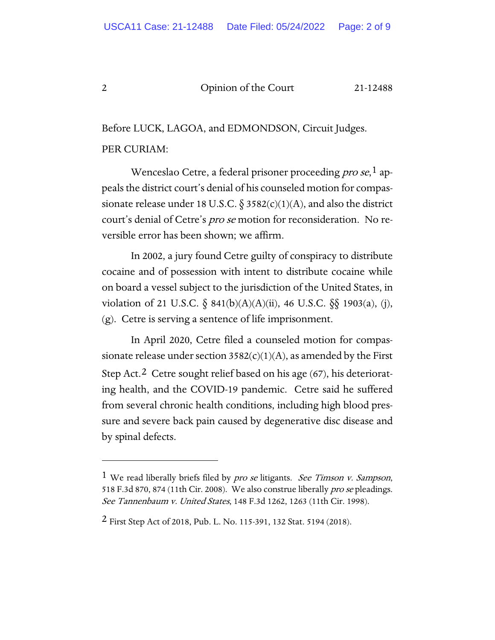Before LUCK, LAGOA, and EDMONDSON, Circuit Judges. PER CURIAM:

Wenceslao Cetre, a federal prisoner proceeding *pro se*,  $\frac{1}{2}$  $\frac{1}{2}$  $\frac{1}{2}$  appeals the district court's denial of his counseled motion for compassionate release under 18 U.S.C.  $\S 3582(c)(1)(A)$ , and also the district court's denial of Cetre's pro se motion for reconsideration. No reversible error has been shown; we affirm.

In 2002, a jury found Cetre guilty of conspiracy to distribute cocaine and of possession with intent to distribute cocaine while on board a vessel subject to the jurisdiction of the United States, in violation of 21 U.S.C.  $\S$  841(b)(A)(A)(ii), 46 U.S.C.  $\S$  $\S$  1903(a), (j), (g). Cetre is serving a sentence of life imprisonment.

In April 2020, Cetre filed a counseled motion for compassionate release under section  $3582(c)(1)(A)$ , as amended by the First Step Act.<sup>[2](#page-1-1)</sup> Cetre sought relief based on his age  $(67)$ , his deteriorating health, and the COVID-19 pandemic. Cetre said he suffered from several chronic health conditions, including high blood pressure and severe back pain caused by degenerative disc disease and by spinal defects.

<span id="page-1-0"></span><sup>&</sup>lt;sup>1</sup> We read liberally briefs filed by *pro se* litigants. *See Timson v. Sampson*, 518 F.3d 870, 874 (11th Cir. 2008). We also construe liberally pro se pleadings. See Tannenbaum v. United States, 148 F.3d 1262, 1263 (11th Cir. 1998).

<span id="page-1-1"></span><sup>2</sup> First Step Act of 2018, Pub. L. No. 115-391, 132 Stat. 5194 (2018).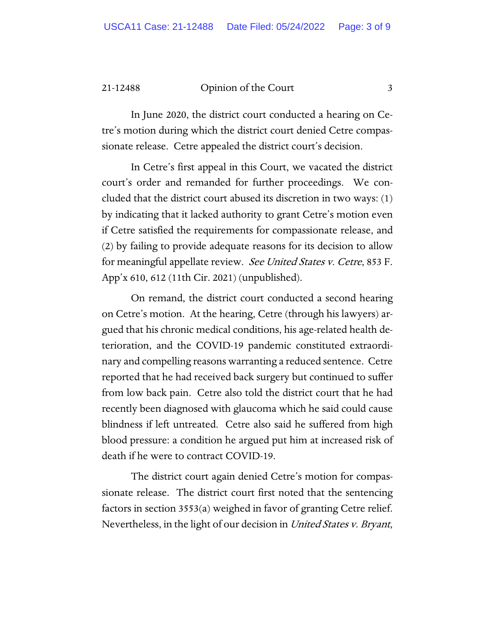In June 2020, the district court conducted a hearing on Cetre's motion during which the district court denied Cetre compassionate release. Cetre appealed the district court's decision.

In Cetre's first appeal in this Court, we vacated the district court's order and remanded for further proceedings. We concluded that the district court abused its discretion in two ways: (1) by indicating that it lacked authority to grant Cetre's motion even if Cetre satisfied the requirements for compassionate release, and (2) by failing to provide adequate reasons for its decision to allow for meaningful appellate review. See United States v. Cetre, 853 F. App'x 610, 612 (11th Cir. 2021) (unpublished).

On remand, the district court conducted a second hearing on Cetre's motion. At the hearing, Cetre (through his lawyers) argued that his chronic medical conditions, his age-related health deterioration, and the COVID-19 pandemic constituted extraordinary and compelling reasons warranting a reduced sentence. Cetre reported that he had received back surgery but continued to suffer from low back pain. Cetre also told the district court that he had recently been diagnosed with glaucoma which he said could cause blindness if left untreated. Cetre also said he suffered from high blood pressure: a condition he argued put him at increased risk of death if he were to contract COVID-19.

The district court again denied Cetre's motion for compassionate release. The district court first noted that the sentencing factors in section 3553(a) weighed in favor of granting Cetre relief. Nevertheless, in the light of our decision in *United States v. Bryant*,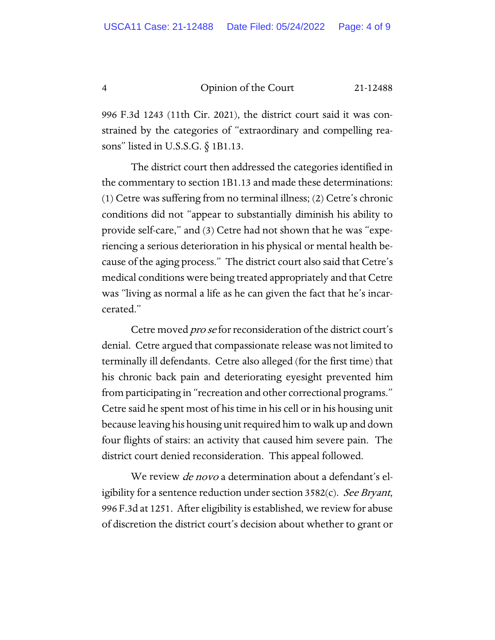996 F.3d 1243 (11th Cir. 2021), the district court said it was constrained by the categories of "extraordinary and compelling reasons" listed in U.S.S.G. § 1B1.13.

The district court then addressed the categories identified in the commentary to section 1B1.13 and made these determinations: (1) Cetre was suffering from no terminal illness; (2) Cetre's chronic conditions did not "appear to substantially diminish his ability to provide self-care," and (3) Cetre had not shown that he was "experiencing a serious deterioration in his physical or mental health because of the aging process." The district court also said that Cetre's medical conditions were being treated appropriately and that Cetre was "living as normal a life as he can given the fact that he's incarcerated."

Cetre moved pro se for reconsideration of the district court's denial. Cetre argued that compassionate release was not limited to terminally ill defendants. Cetre also alleged (for the first time) that his chronic back pain and deteriorating eyesight prevented him from participating in "recreation and other correctional programs." Cetre said he spent most of his time in his cell or in his housing unit because leaving his housing unit required him to walk up and down four flights of stairs: an activity that caused him severe pain. The district court denied reconsideration. This appeal followed.

We review *de novo* a determination about a defendant's eligibility for a sentence reduction under section  $3582(c)$ . See Bryant, 996 F.3d at 1251. After eligibility is established, we review for abuse of discretion the district court's decision about whether to grant or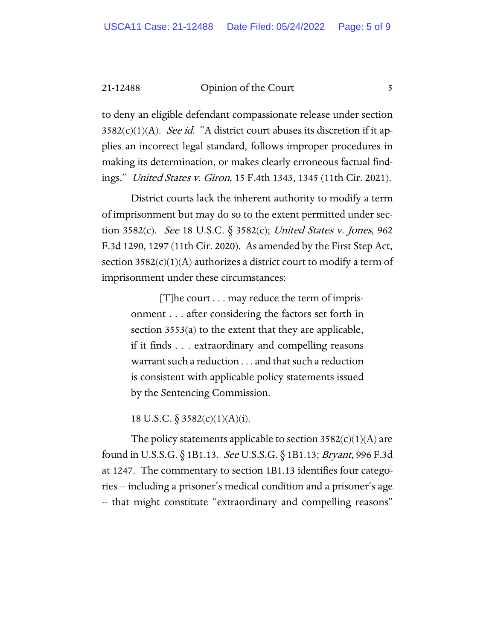to deny an eligible defendant compassionate release under section  $3582(c)(1)(A)$ . See id. "A district court abuses its discretion if it applies an incorrect legal standard, follows improper procedures in making its determination, or makes clearly erroneous factual findings." United States v. Giron, 15 F.4th 1343, 1345 (11th Cir. 2021).

District courts lack the inherent authority to modify a term of imprisonment but may do so to the extent permitted under section 3582(c). See 18 U.S.C.  $\S$  3582(c); United States v. Jones, 962 F.3d 1290, 1297 (11th Cir. 2020). As amended by the First Step Act, section  $3582(c)(1)(A)$  authorizes a district court to modify a term of imprisonment under these circumstances:

> [T]he court . . . may reduce the term of imprisonment . . . after considering the factors set forth in section 3553(a) to the extent that they are applicable, if it finds . . . extraordinary and compelling reasons warrant such a reduction . . . and that such a reduction is consistent with applicable policy statements issued by the Sentencing Commission.

18 U.S.C.  $\S 3582(c)(1)(A)(i)$ .

The policy statements applicable to section  $3582(c)(1)(A)$  are found in U.S.S.G. § 1B1.13. See U.S.S.G. § 1B1.13; Bryant, 996 F.3d at 1247. The commentary to section 1B1.13 identifies four categories -- including a prisoner's medical condition and a prisoner's age -- that might constitute "extraordinary and compelling reasons"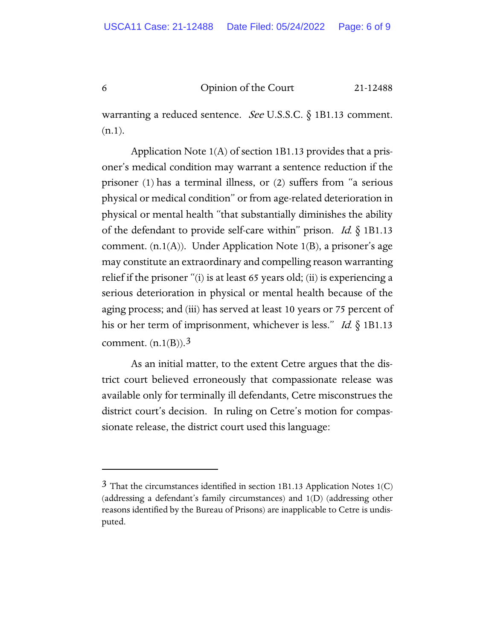warranting a reduced sentence. *See* U.S.S.C.  $\S$  1B1.13 comment.  $(n.1)$ .

Application Note 1(A) of section 1B1.13 provides that a prisoner's medical condition may warrant a sentence reduction if the prisoner (1) has a terminal illness, or (2) suffers from "a serious physical or medical condition" or from age-related deterioration in physical or mental health "that substantially diminishes the ability of the defendant to provide self-care within" prison. *Id.*  $\S$  1B1.13 comment. (n.1(A)). Under Application Note 1(B), a prisoner's age may constitute an extraordinary and compelling reason warranting relief if the prisoner "(i) is at least 65 years old; (ii) is experiencing a serious deterioration in physical or mental health because of the aging process; and (iii) has served at least 10 years or 75 percent of his or her term of imprisonment, whichever is less." Id.  $\S$  1B1.13 comment.  $(n.1(B))$ .<sup>[3](#page-5-0)</sup>

As an initial matter, to the extent Cetre argues that the district court believed erroneously that compassionate release was available only for terminally ill defendants, Cetre misconstrues the district court's decision. In ruling on Cetre's motion for compassionate release, the district court used this language:

<span id="page-5-0"></span> $3$  That the circumstances identified in section 1B1.13 Application Notes 1(C) (addressing a defendant's family circumstances) and 1(D) (addressing other reasons identified by the Bureau of Prisons) are inapplicable to Cetre is undisputed.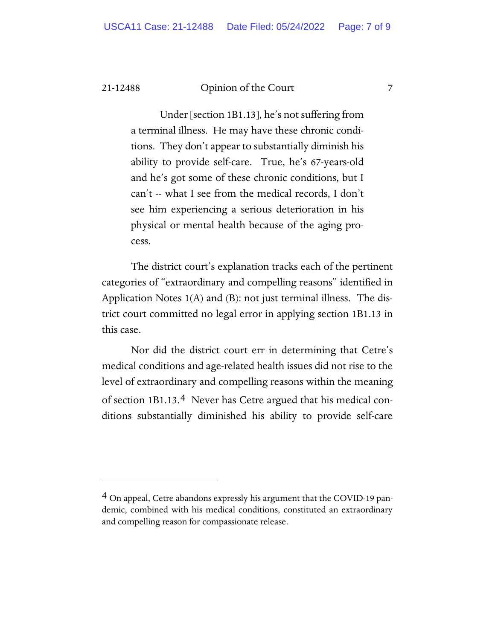Under [section 1B1.13], he's not suffering from a terminal illness. He may have these chronic conditions. They don't appear to substantially diminish his ability to provide self-care. True, he's 67-years-old and he's got some of these chronic conditions, but I can't -- what I see from the medical records, I don't see him experiencing a serious deterioration in his physical or mental health because of the aging process.

The district court's explanation tracks each of the pertinent categories of "extraordinary and compelling reasons" identified in Application Notes 1(A) and (B): not just terminal illness. The district court committed no legal error in applying section 1B1.13 in this case.

Nor did the district court err in determining that Cetre's medical conditions and age-related health issues did not rise to the level of extraordinary and compelling reasons within the meaning of section 1B1.13.[4](#page-6-0) Never has Cetre argued that his medical conditions substantially diminished his ability to provide self-care

<span id="page-6-0"></span><sup>&</sup>lt;sup>4</sup> On appeal, Cetre abandons expressly his argument that the COVID-19 pandemic, combined with his medical conditions, constituted an extraordinary and compelling reason for compassionate release.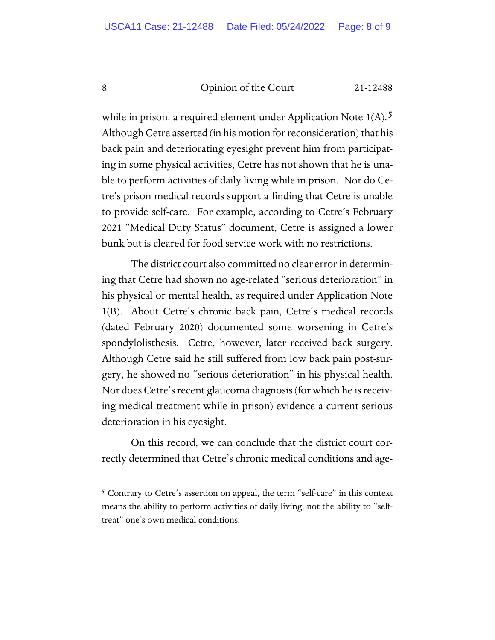while in prison: a required element under Application Note  $1(A)$ . Although Cetre asserted (in his motion for reconsideration) that his back pain and deteriorating eyesight prevent him from participating in some physical activities, Cetre has not shown that he is unable to perform activities of daily living while in prison. Nor do Cetre's prison medical records support a finding that Cetre is unable to provide self-care. For example, according to Cetre's February 2021 "Medical Duty Status" document, Cetre is assigned a lower bunk but is cleared for food service work with no restrictions.

The district court also committed no clear error in determining that Cetre had shown no age-related "serious deterioration" in his physical or mental health, as required under Application Note 1(B). About Cetre's chronic back pain, Cetre's medical records (dated February 2020) documented some worsening in Cetre's spondylolisthesis. Cetre, however, later received back surgery. Although Cetre said he still suffered from low back pain post-surgery, he showed no "serious deterioration" in his physical health. Nor does Cetre's recent glaucoma diagnosis (for which he is receiving medical treatment while in prison) evidence a current serious deterioration in his eyesight.

On this record, we can conclude that the district court correctly determined that Cetre's chronic medical conditions and age-

<span id="page-7-0"></span><sup>&</sup>lt;sup>5</sup> Contrary to Cetre's assertion on appeal, the term "self-care" in this context means the ability to perform activities of daily living, not the ability to "selftreat" one's own medical conditions.